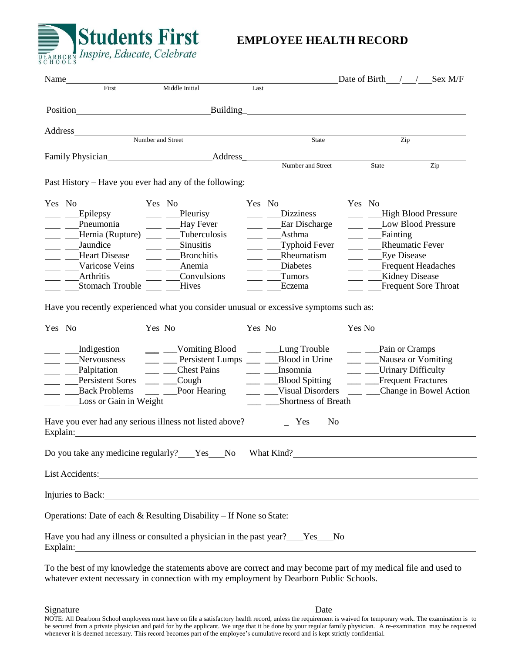

## **EMPLOYEE HEALTH RECORD**

|        |                                                                                                  |                                                                                                                                                                                                                                                                                                             |                          |                                    |        |                       | Date of Birth $\frac{\ }{\ }$ / Sex M/F        |
|--------|--------------------------------------------------------------------------------------------------|-------------------------------------------------------------------------------------------------------------------------------------------------------------------------------------------------------------------------------------------------------------------------------------------------------------|--------------------------|------------------------------------|--------|-----------------------|------------------------------------------------|
|        |                                                                                                  | Middle Initial                                                                                                                                                                                                                                                                                              | Last                     |                                    |        |                       |                                                |
|        |                                                                                                  | Position Building Building Building                                                                                                                                                                                                                                                                         |                          |                                    |        |                       |                                                |
|        |                                                                                                  |                                                                                                                                                                                                                                                                                                             |                          |                                    |        |                       |                                                |
|        |                                                                                                  | Number and Street                                                                                                                                                                                                                                                                                           |                          | State                              |        |                       | Zip                                            |
|        |                                                                                                  | Family Physician<br>Address<br>Number and Street                                                                                                                                                                                                                                                            |                          |                                    |        |                       |                                                |
|        |                                                                                                  |                                                                                                                                                                                                                                                                                                             |                          |                                    |        | State                 | Zip                                            |
|        |                                                                                                  | Past History – Have you ever had any of the following:                                                                                                                                                                                                                                                      |                          |                                    |        |                       |                                                |
|        | Yes No                                                                                           | Yes No                                                                                                                                                                                                                                                                                                      | Yes No                   |                                    | Yes No |                       |                                                |
|        | Epilepsy                                                                                         | $\frac{\text{Pleurisy}}{\text{Pleurisy}}$                                                                                                                                                                                                                                                                   |                          | <b>Dizziness</b>                   |        |                       | - High Blood Pressure                          |
|        | $\equiv$ Pneumonia                                                                               | ___ __Hay Fever                                                                                                                                                                                                                                                                                             |                          | ___ Ear Discharge                  |        |                       | ___ __ __Low Blood Pressure                    |
|        |                                                                                                  | ___ __________Hernia (Rupture) _____ _______Tuberculosis                                                                                                                                                                                                                                                    |                          | $\frac{1}{2}$ $\frac{1}{2}$ Asthma |        | ___ Fainting          |                                                |
|        | ___ ___ Jaundice                                                                                 | $\frac{1}{\sqrt{2}}$ Sinusitis                                                                                                                                                                                                                                                                              | $\overline{\phantom{a}}$ | Typhoid Fever                      |        |                       | ____ ____Rheumatic Fever                       |
|        | Heart Disease                                                                                    | $\frac{1}{\sqrt{1-\frac{1}{2}}}$ Bronchitis                                                                                                                                                                                                                                                                 | $\overline{\phantom{0}}$ | Rheumatism                         |        | <u>Lye</u> Disease    |                                                |
|        | <b>Varicose Veins</b>                                                                            | $\frac{1}{\sqrt{1-\frac{1}{2}}}$ Anemia                                                                                                                                                                                                                                                                     | $\sim$ $-$               | Diabetes                           |        |                       | Frequent Headaches                             |
|        | Arthritis<br>Stomach Trouble _____ Hives                                                         | Convulsions                                                                                                                                                                                                                                                                                                 |                          | Tumors<br>Eczema                   |        | ___ __ Kidney Disease | Frequent Sore Throat                           |
|        |                                                                                                  |                                                                                                                                                                                                                                                                                                             |                          |                                    |        |                       |                                                |
| Yes No | Have you recently experienced what you consider unusual or excessive symptoms such as:<br>Yes No |                                                                                                                                                                                                                                                                                                             | Yes No                   | Yes No                             |        |                       |                                                |
|        |                                                                                                  | __ __ __Indigestion ___ ___________Vomiting Blood ___ _____Lung Trouble ___ _____Pain or Cramps                                                                                                                                                                                                             |                          |                                    |        |                       |                                                |
|        |                                                                                                  | Nervousness ___ __ Persistent Lumps ___ __Blood in Urine                                                                                                                                                                                                                                                    |                          |                                    |        |                       | ___ __Nausea or Vomiting                       |
|        | Palpitation                                                                                      | ___ ___ __Chest Pains ___ __ ___ __ __ __ Insomnia                                                                                                                                                                                                                                                          |                          |                                    |        |                       | ___ __Urinary Difficulty                       |
|        | Persistent Sores ____ ___ Cough                                                                  |                                                                                                                                                                                                                                                                                                             |                          | ___ ___Blood Spitting              |        |                       | ___ ___Frequent Fractures                      |
|        |                                                                                                  | Back Problems ____ __Poor Hearing                                                                                                                                                                                                                                                                           | $\frac{1}{2}$            |                                    |        |                       | Visual Disorders ___ __ Change in Bowel Action |
|        | Loss or Gain in Weight                                                                           |                                                                                                                                                                                                                                                                                                             | $\frac{1}{2}$            | <b>Shortness of Breath</b>         |        |                       |                                                |
|        |                                                                                                  | Have you ever had any serious illness not listed above?<br>Explain: The Commission of the Commission of the Commission of the Commission of the Commission of the Commission of the Commission of the Commission of the Commission of the Commission of the Commission of the Commission                    |                          | $Yes$ No                           |        |                       |                                                |
|        |                                                                                                  | Do you take any medicine regularly? Yes No What Kind?                                                                                                                                                                                                                                                       |                          |                                    |        |                       |                                                |
|        |                                                                                                  | List Accidents: Note and the set of the set of the set of the set of the set of the set of the set of the set of the set of the set of the set of the set of the set of the set of the set of the set of the set of the set of                                                                              |                          |                                    |        |                       |                                                |
|        |                                                                                                  | Injuries to Back: New York: New York: New York: New York: New York: New York: New York: New York: New York: New York: New York: New York: New York: New York: New York: New York: New York: New York: New York: New York: New                                                                               |                          |                                    |        |                       |                                                |
|        |                                                                                                  | Operations: Date of each & Resulting Disability - If None so State: 1992 1994                                                                                                                                                                                                                               |                          |                                    |        |                       |                                                |
|        |                                                                                                  |                                                                                                                                                                                                                                                                                                             |                          |                                    |        |                       |                                                |
|        |                                                                                                  | Have you had any illness or consulted a physician in the past year? Yes No<br>Explain: The Commission of the Commission of the Commission of the Commission of the Commission of the Commission of the Commission of the Commission of the Commission of the Commission of the Commission of the Commission |                          |                                    |        |                       |                                                |
|        |                                                                                                  | To the best of my knowledge the statements above are correct and may become part of my medical file and used to                                                                                                                                                                                             |                          |                                    |        |                       |                                                |

whatever extent necessary in connection with my employment by Dearborn Public Schools.

NOTE: All Dearborn School employees must have on file a satisfactory health record, unless the requirement is waived for temporary work. The examination is to be secured from a private physician and paid for by the applicant. We urge that it be done by your regular family physician. A re-examination may be requested whenever it is deemed necessary. This record becomes part of the employee's cumulative record and is kept strictly confidential.